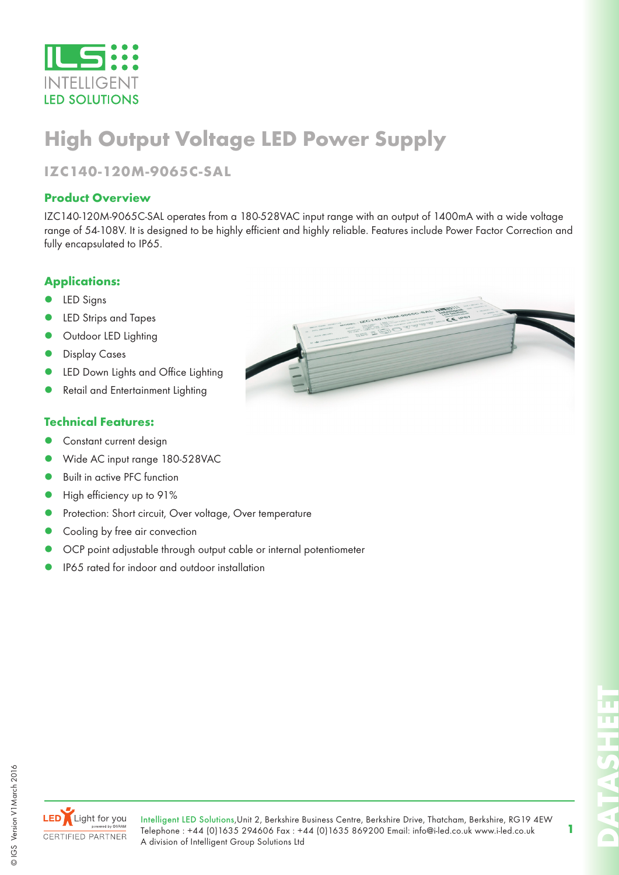

## **High Output Voltage LED Power Supply**

## **IZC140-120M-9065C-SAL**

#### **Product Overview**

IZC140-120M-9065C-SAL operates from a 180-528VAC input range with an output of 1400mA with a wide voltage range of 54-108V. It is designed to be highly efficient and highly reliable. Features include Power Factor Correction and fully encapsulated to IP65.

#### **Applications:**

- LED Signs
- LED Strips and Tapes
- Outdoor LED Lighting
- Display Cases
- LED Down Lights and Office Lighting
- Retail and Entertainment Lighting

#### **Technical Features:**

- Constant current design
- Wide AC input range 180-528VAC
- Built in active PFC function
- High efficiency up to 91%
- Protection: Short circuit, Over voltage, Over temperature
- Cooling by free air convection
- OCP point adjustable through output cable or internal potentiometer
- IP65 rated for indoor and outdoor installation



**LED** Light for you **CERTIFIED PARTNER** 

**1**

**DATASHEET**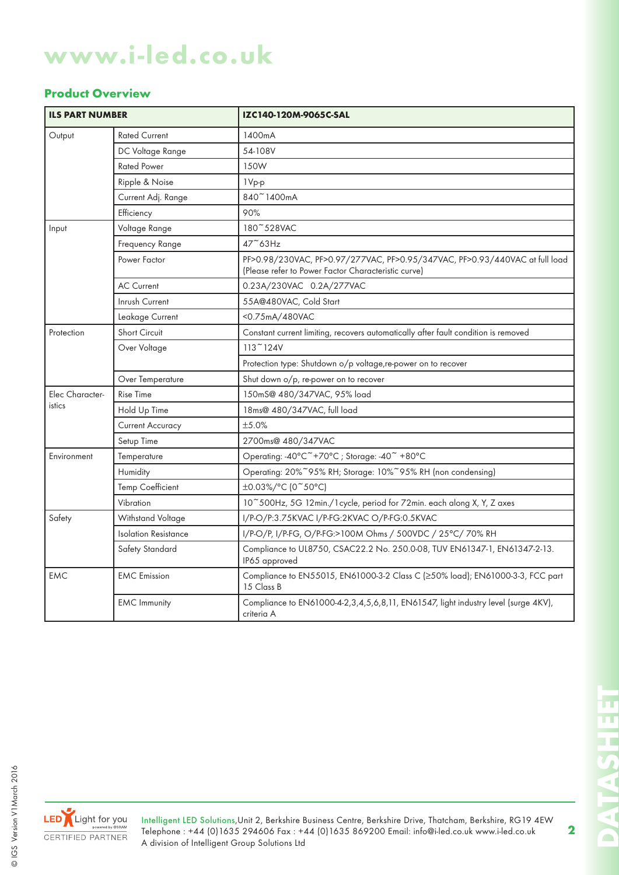# **www.i-led.co.uk**

#### **Product Overview**

| <b>ILS PART NUMBER</b>    |                         | IZC140-120M-9065C-SAL                                                                                                              |
|---------------------------|-------------------------|------------------------------------------------------------------------------------------------------------------------------------|
| Output                    | <b>Rated Current</b>    | 1400mA                                                                                                                             |
|                           | DC Voltage Range        | 54-108V                                                                                                                            |
|                           | <b>Rated Power</b>      | 150W                                                                                                                               |
|                           | Ripple & Noise          | 1Vp-p                                                                                                                              |
|                           | Current Adj. Range      | 840~1400mA                                                                                                                         |
|                           | Efficiency              | 90%                                                                                                                                |
| Input                     | Voltage Range           | 180~528VAC                                                                                                                         |
|                           | Frequency Range         | $47^\circ$ 63Hz                                                                                                                    |
|                           | Power Factor            | PF>0.98/230VAC, PF>0.97/277VAC, PF>0.95/347VAC, PF>0.93/440VAC at full load<br>(Please refer to Power Factor Characteristic curve) |
|                           | <b>AC Current</b>       | 0.23A/230VAC 0.2A/277VAC                                                                                                           |
|                           | Inrush Current          | 55A@480VAC, Cold Start                                                                                                             |
|                           | Leakage Current         | <0.75mA/480VAC                                                                                                                     |
| Protection                | <b>Short Circuit</b>    | Constant current limiting, recovers automatically after fault condition is removed                                                 |
|                           | Over Voltage            | $113$ $\degree$ 124V                                                                                                               |
|                           |                         | Protection type: Shutdown o/p voltage, re-power on to recover                                                                      |
|                           | Over Temperature        | Shut down o/p, re-power on to recover                                                                                              |
| Elec Character-<br>istics | <b>Rise Time</b>        | 150mS@ 480/347VAC, 95% load                                                                                                        |
|                           | Hold Up Time            | 18ms@ 480/347VAC, full load                                                                                                        |
|                           | <b>Current Accuracy</b> | ±5.0%                                                                                                                              |
|                           | Setup Time              | 2700ms@ 480/347VAC                                                                                                                 |
| Environment               | Temperature             | Operating: -40°C <sup>~</sup> +70°C; Storage: -40 <sup>~</sup> +80°C                                                               |
|                           | Humidity                | Operating: 20%~95% RH; Storage: 10%~95% RH (non condensing)                                                                        |
|                           | <b>Temp Coefficient</b> | ±0.03%/°C (0~50°C)                                                                                                                 |
|                           | Vibration               | 10~500Hz, 5G 12min./1 cycle, period for 72min. each along X, Y, Z axes                                                             |
| Safety                    | Withstand Voltage       | I/P-O/P:3.75KVAC I/P-FG:2KVAC O/P-FG:0.5KVAC                                                                                       |
|                           | Isolation Resistance    | I/P-O/P, I/P-FG, O/P-FG:>100M Ohms / 500VDC / 25°C/ 70% RH                                                                         |
|                           | Safety Standard         | Compliance to UL8750, CSAC22.2 No. 250.0-08, TUV EN61347-1, EN61347-2-13.<br>IP65 approved                                         |
| <b>EMC</b>                | <b>EMC</b> Emission     | Compliance to EN55015, EN61000-3-2 Class C (≥50% load); EN61000-3-3, FCC part<br>15 Class B                                        |
|                           | <b>EMC Immunity</b>     | Compliance to EN61000-4-2,3,4,5,6,8,11, EN61547, light industry level (surge 4KV),<br>criteria A                                   |



Intelligent LED Solutions,Unit 2, Berkshire Business Centre, Berkshire Drive, Thatcham, Berkshire, RG19 4EW Telephone : +44 (0)1635 294606 Fax : +44 (0)1635 869200 Email: info@i-led.co.uk www.i-led.co.uk A division of Intelligent Group Solutions Ltd

**DATASHEET** T. **CATTAG** 

'n. <u>u</u>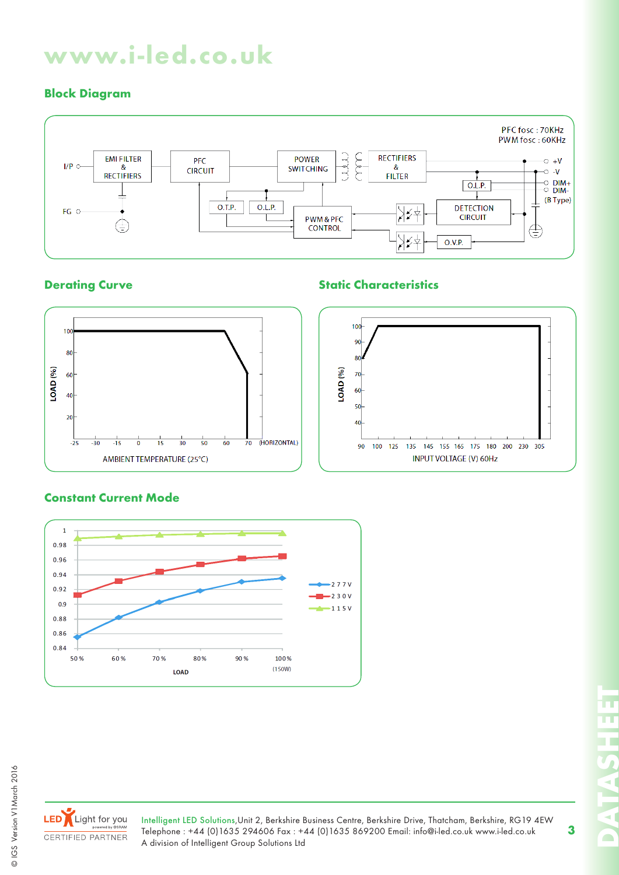# **www.i-led.co.uk**

## **Block Diagram**



## **Derating Curve Static Characteristics**





#### **Constant Current Mode**





© IGS Version V1March 2016

© IGS Version V1 March 2016

LED Light for you CERTIFIED PARTNER

Intelligent LED Solutions,Unit 2, Berkshire Business Centre, Berkshire Drive, Thatcham, Berkshire, RG19 4EW Telephone : +44 (0)1635 294606 Fax : +44 (0)1635 869200 Email: info@i-led.co.uk www.i-led.co.uk A division of Intelligent Group Solutions Ltd